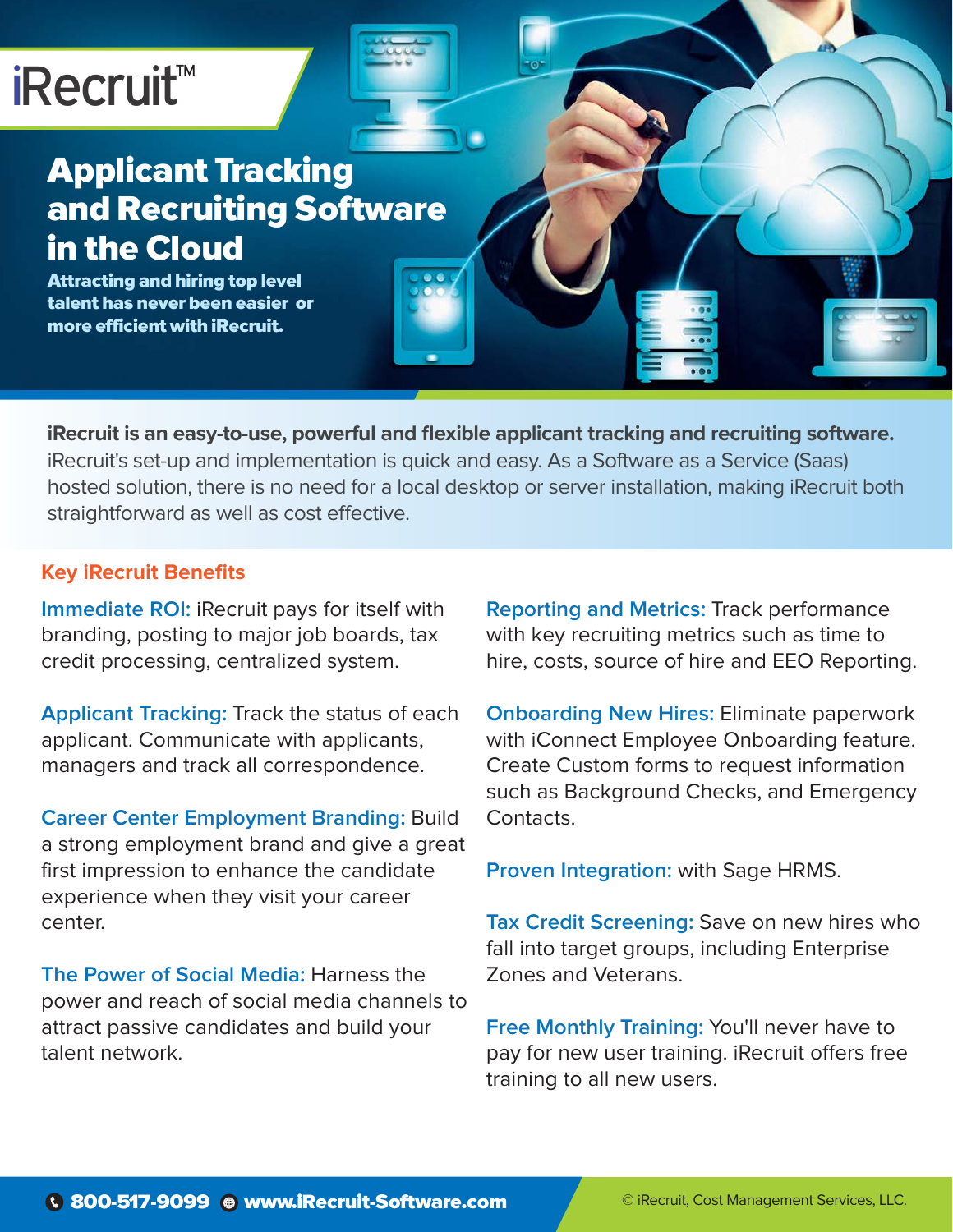# iRecruit<sup>™</sup>

### Applicant Tracking and Recruiting Software in the Cloud

Attracting and hiring top level talent has never been easier or more efficient with iRecruit.

**iRecruit is an easy-to-use, powerful and flexible applicant tracking and recruiting software.** iRecruit's set-up and implementation is quick and easy. As a Software as a Service (Saas) hosted solution, there is no need for a local desktop or server installation, making iRecruit both straightforward as well as cost effective.

#### **Key iRecruit Benefits**

**Immediate ROI:** iRecruit pays for itself with branding, posting to major job boards, tax credit processing, centralized system.

**Applicant Tracking:** Track the status of each applicant. Communicate with applicants, managers and track all correspondence.

**Career Center Employment Branding:** Build a strong employment brand and give a great first impression to enhance the candidate experience when they visit your career center.

**The Power of Social Media:** Harness the power and reach of social media channels to attract passive candidates and build your talent network.

**Reporting and Metrics:** Track performance with key recruiting metrics such as time to hire, costs, source of hire and EEO Reporting.

**Onboarding New Hires:** Eliminate paperwork with iConnect Employee Onboarding feature. Create Custom forms to request information such as Background Checks, and Emergency Contacts.

**Proven Integration:** with Sage HRMS.

**Tax Credit Screening:** Save on new hires who fall into target groups, including Enterprise Zones and Veterans.

**Free Monthly Training:** You'll never have to pay for new user training. iRecruit offers free training to all new users.